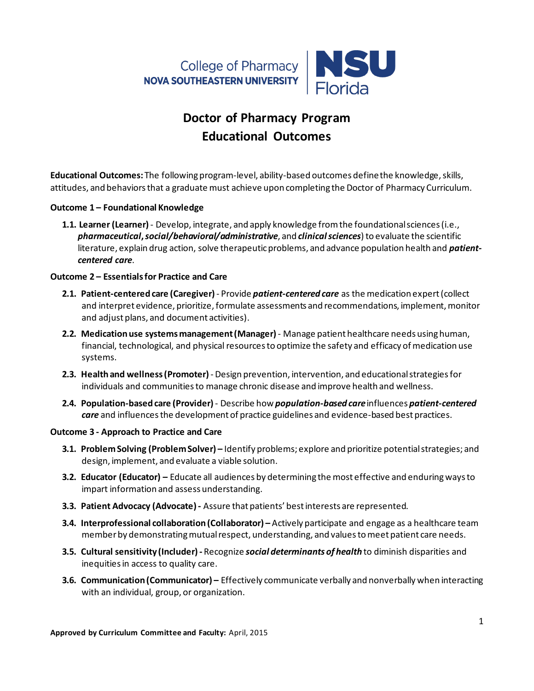

# **Doctor of Pharmacy Program Educational Outcomes**

**Educational Outcomes:** The following program-level, ability-based outcomes define the knowledge, skills, attitudes, and behaviorsthat a graduate must achieve upon completing the Doctor of Pharmacy Curriculum.

### **Outcome 1 – Foundational Knowledge**

**1.1. Learner (Learner)** - Develop, integrate, and apply knowledge from the foundational sciences (i.e., *pharmaceutical***,** *social/behavioral/administrative*, and *clinical sciences*) to evaluate the scientific literature, explain drug action, solve therapeutic problems, and advance population health and *patientcentered care*.

### **Outcome 2 – Essentialsfor Practice and Care**

- **2.1. Patient-centered care (Caregiver)** Provide *patient-centered care* as the medication expert(collect and interpret evidence, prioritize, formulate assessments and recommendations, implement, monitor and adjust plans, and document activities).
- **2.2. Medication use systems management (Manager)** Manage patient healthcare needs using human, financial, technological, and physical resources to optimize the safety and efficacy of medication use systems.
- **2.3. Health and wellness (Promoter)** Design prevention, intervention, and educational strategies for individuals and communitiesto manage chronic disease and improve health and wellness.
- **2.4. Population-based care (Provider)** Describe how *population-based care*influences *patient-centered care* and influences the development of practice guidelines and evidence-based best practices.

## **Outcome 3 - Approach to Practice and Care**

- **3.1. Problem Solving (Problem Solver) –** Identify problems; explore and prioritize potential strategies; and design, implement, and evaluate a viable solution.
- **3.2. Educator (Educator) –** Educate all audiences by determining the most effective and enduring ways to impart information and assess understanding.
- **3.3. Patient Advocacy (Advocate)-** Assure that patients' best interests are represented.
- **3.4. Interprofessional collaboration(Collaborator) –** Actively participate and engage as a healthcare team member by demonstratingmutual respect, understanding, and valuesto meet patient care needs.
- **3.5. Cultural sensitivity (Includer)-** Recognize *social determinants of health* to diminish disparities and inequities in access to quality care.
- **3.6. Communication (Communicator) –** Effectively communicate verbally and nonverbally when interacting with an individual, group, or organization.